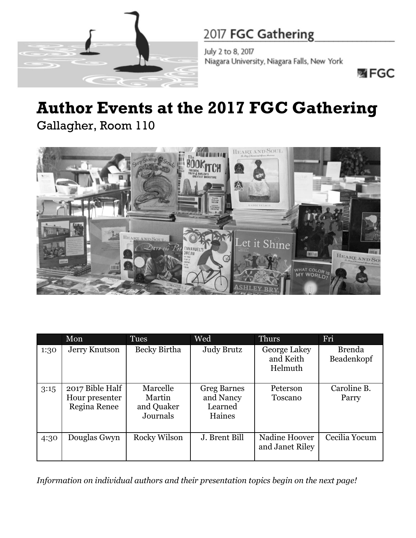

July 2 to 8, 2017 Niagara University, Niagara Falls, New York

嘴FGC

# **Author Events at the 2017 FGC Gathering**

Gallagher, Room 110



|      | Mon                                               | <b>Tues</b>                                  | Wed                                                  | <b>Thurs</b>                         | Fri                         |
|------|---------------------------------------------------|----------------------------------------------|------------------------------------------------------|--------------------------------------|-----------------------------|
| 1:30 | Jerry Knutson                                     | Becky Birtha                                 | <b>Judy Brutz</b>                                    | George Lakey<br>and Keith<br>Helmuth | <b>Brenda</b><br>Beadenkopf |
| 3:15 | 2017 Bible Half<br>Hour presenter<br>Regina Renee | Marcelle<br>Martin<br>and Quaker<br>Journals | <b>Greg Barnes</b><br>and Nancy<br>Learned<br>Haines | Peterson<br>Toscano                  | Caroline B.<br>Parry        |
| 4:30 | Douglas Gwyn                                      | Rocky Wilson                                 | J. Brent Bill                                        | Nadine Hoover<br>and Janet Riley     | Cecilia Yocum               |

*Information on individual authors and their presentation topics begin on the next page!*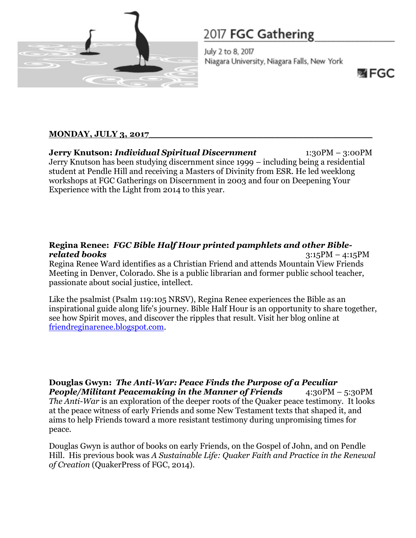

July 2 to 8, 2017 Niagara University, Niagara Falls, New York

网 FGC

#### **MONDAY, JULY 3, 2017\_\_\_\_\_\_\_\_\_\_\_\_\_\_\_\_\_\_\_\_\_\_\_\_\_\_\_\_\_\_\_\_\_\_\_\_\_\_\_**

**Jerry Knutson:** *Individual Spiritual Discernment* 1:30PM – 3:00PM Jerry Knutson has been studying discernment since 1999 – including being a residential student at Pendle Hill and receiving a Masters of Divinity from ESR. He led weeklong workshops at FGC Gatherings on Discernment in 2003 and four on Deepening Your Experience with the Light from 2014 to this year.

#### **Regina Renee:** *FGC Bible Half Hour printed pamphlets and other Biblerelated books* 3:15PM – 4:15PM

Regina Renee Ward identifies as a Christian Friend and attends Mountain View Friends Meeting in Denver, Colorado. She is a public librarian and former public school teacher, passionate about social justice, intellect.

Like the psalmist (Psalm 119:105 NRSV), Regina Renee experiences the Bible as an inspirational guide along life's journey. Bible Half Hour is an opportunity to share together, see how Spirit moves, and discover the ripples that result. Visit her blog online at [friendreginarenee.blogspot.com.](https://friendreginarenee.blogspot.com/)

**Douglas Gwyn:** *The Anti-War: Peace Finds the Purpose of a Peculiar People/Militant Peacemaking in the Manner of Friends* 4:30PM – 5:30PM *The Anti-War* is an exploration of the deeper roots of the Quaker peace testimony. It looks at the peace witness of early Friends and some New Testament texts that shaped it, and aims to help Friends toward a more resistant testimony during unpromising times for peace.

Douglas Gwyn is author of books on early Friends, on the Gospel of John, and on Pendle Hill. His previous book was *A Sustainable Life: Quaker Faith and Practice in the Renewal of Creation* (QuakerPress of FGC, 2014).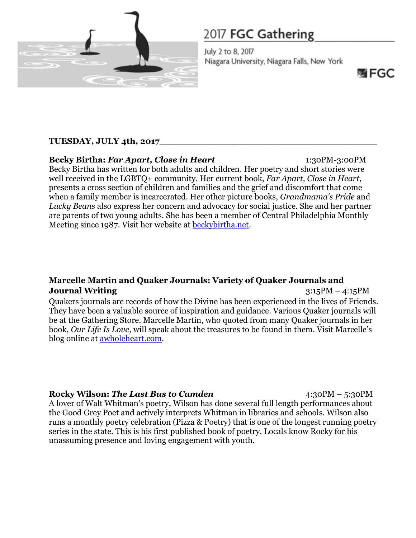

July 2 to 8, 2017 Niagara University, Niagara Falls, New York

哪 FGC

#### **TUESDAY, JULY 4th, 2017\_\_\_\_\_\_\_\_\_\_\_\_\_\_\_\_\_\_\_\_\_\_\_\_\_\_\_\_\_\_\_\_\_\_\_\_\_\_**

### **Becky Birtha:** *Far Apart, Close in Heart* 1:30PM-3:00PM

Becky Birtha has written for both adults and children. Her poetry and short stories were well received in the LGBTQ+ community. Her current book, *Far Apart, Close in Heart*, presents a cross section of children and families and the grief and discomfort that come when a family member is incarcerated. Her other picture books, *Grandmama's Pride* and *Lucky Beans* also express her concern and advocacy for social justice. She and her partner are parents of two young adults. She has been a member of Central Philadelphia Monthly Meeting since 1987. Visit her website at [beckybirtha.net.](http://beckybirtha.net/)

#### **Marcelle Martin and Quaker Journals: Variety of Quaker Journals and Journal Writing** 3:15PM – 4:15PM

Quakers journals are records of how the Divine has been experienced in the lives of Friends. They have been a valuable source of inspiration and guidance. Various Quaker journals will be at the Gathering Store. Marcelle Martin, who quoted from many Quaker journals in her book, *Our Life Is Love*, will speak about the treasures to be found in them. Visit Marcelle's blog online at [awholeheart.com.](https://awholeheart.com/)

#### **Rocky Wilson: The Last Bus to Camden** 4:30PM – 5:30PM

A lover of Walt Whitman's poetry, Wilson has done several full length performances about the Good Grey Poet and actively interprets Whitman in libraries and schools. Wilson also runs a monthly poetry celebration (Pizza & Poetry) that is one of the longest running poetry series in the state. This is his first published book of poetry. Locals know Rocky for his unassuming presence and loving engagement with youth.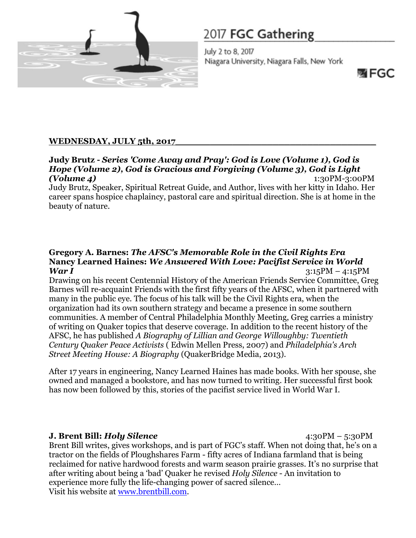

July 2 to 8, 2017 Niagara University, Niagara Falls, New York

网 FGC

#### **WEDNESDAY, JULY 5th, 2017\_\_\_\_\_\_\_\_\_\_\_\_\_\_\_\_\_\_\_\_\_\_\_\_\_\_\_\_\_\_\_\_\_\_\_**

#### **Judy Brutz -** *Series 'Come Away and Pray': God is Love (Volume 1), God is Hope (Volume 2), God is Gracious and Forgiving (Volume 3), God is Light (Volume 4)*1:30PM-3:00PM

Judy Brutz, Speaker, Spiritual Retreat Guide, and Author, lives with her kitty in Idaho. Her career spans hospice chaplaincy, pastoral care and spiritual direction. She is at home in the beauty of nature.

#### **Gregory A. Barnes:** *The AFSC's Memorable Role in the Civil Rights Era* **Nancy Learned Haines:** *We Answered With Love: Pacifist Service in World War I* 3:15PM – 4:15PM

Drawing on his recent Centennial History of the American Friends Service Committee, Greg Barnes will re-acquaint Friends with the first fifty years of the AFSC, when it partnered with many in the public eye. The focus of his talk will be the Civil Rights era, when the organization had its own southern strategy and became a presence in some southern communities. A member of Central Philadelphia Monthly Meeting, Greg carries a ministry of writing on Quaker topics that deserve coverage. In addition to the recent history of the AFSC, he has published *A Biography of Lillian and George Willoughby: Twentieth Century Quaker Peace Activists* ( Edwin Mellen Press, 2007) and *Philadelphia's Arch Street Meeting House: A Biography* (QuakerBridge Media, 2013).

After 17 years in engineering, Nancy Learned Haines has made books. With her spouse, she owned and managed a bookstore, and has now turned to writing. Her successful first book has now been followed by this, stories of the pacifist service lived in World War I.

**J. Brent Bill:** *Holy Silence* 4:30PM – 5:30PM Brent Bill writes, gives workshops, and is part of FGC's staff. When not doing that, he's on a tractor on the fields of Ploughshares Farm - fifty acres of Indiana farmland that is being reclaimed for native hardwood forests and warm season prairie grasses. It's no surprise that after writing about being a 'bad' Quaker he revised *Holy Silence* - An invitation to experience more fully the life-changing power of sacred silence… Visit his website at [www.brentbill.com.](http://www.brentbill.com/)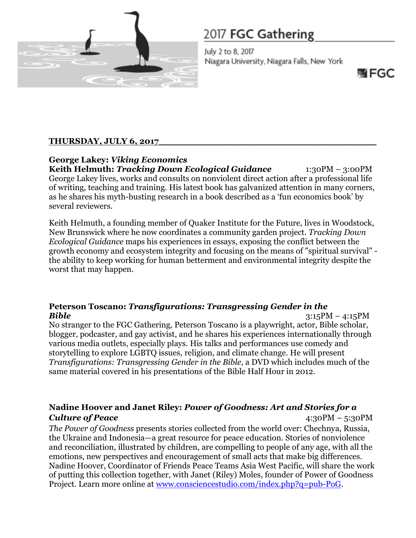

July 2 to 8, 2017 Niagara University, Niagara Falls, New York

哪 FGC

#### **THURSDAY, JULY 6, 2017\_\_\_\_\_\_\_\_\_\_\_\_\_\_\_\_\_\_\_\_\_\_\_\_\_\_\_\_\_\_\_\_\_\_\_\_\_\_**

**George Lakey:** *Viking Economics* **Keith Helmuth:** *Tracking Down Ecological Guidance* 1:30PM – 3:00PM George Lakey lives, works and consults on nonviolent direct action after a professional life of writing, teaching and training. His latest book has galvanized attention in many corners, as he shares his myth-busting research in a book described as a 'fun economics book' by several reviewers.

Keith Helmuth, a founding member of Quaker Institute for the Future, lives in Woodstock, New Brunswick where he now coordinates a community garden project. *Tracking Down Ecological Guidance* maps his experiences in essays, exposing the conflict between the growth economy and ecosystem integrity and focusing on the means of "spiritual survival" the ability to keep working for human betterment and environmental integrity despite the worst that may happen.

#### **Peterson Toscano:** *Transfigurations: Transgressing Gender in the Bible* 3:15PM – 4:15PM

No stranger to the FGC Gathering, Peterson Toscano is a playwright, actor, Bible scholar, blogger, podcaster, and gay activist, and he shares his experiences internationally through various media outlets, especially plays. His talks and performances use comedy and storytelling to explore LGBTQ issues, religion, and climate change. He will present *Transfigurations: Transgressing Gender in the Bible*, a DVD which includes much of the same material covered in his presentations of the Bible Half Hour in 2012.

#### **Nadine Hoover and Janet Riley:** *Power of Goodness: Art and Stories for a Culture of Peace* 4:30PM – 5:30PM

*The Power of Goodness* presents stories collected from the world over: Chechnya, Russia, the Ukraine and Indonesia—a great resource for peace education. Stories of nonviolence and reconciliation, illustrated by children, are compelling to people of any age, with all the emotions, new perspectives and encouragement of small acts that make big differences. Nadine Hoover, Coordinator of Friends Peace Teams Asia West Pacific, will share the work of putting this collection together, with Janet (Riley) Moles, founder of Power of Goodness Project. Learn more online at [www.consciencestudio.com/index.php?q=pub-PoG.](http://www.consciencestudio.com/index.php?q=pub-PoG)